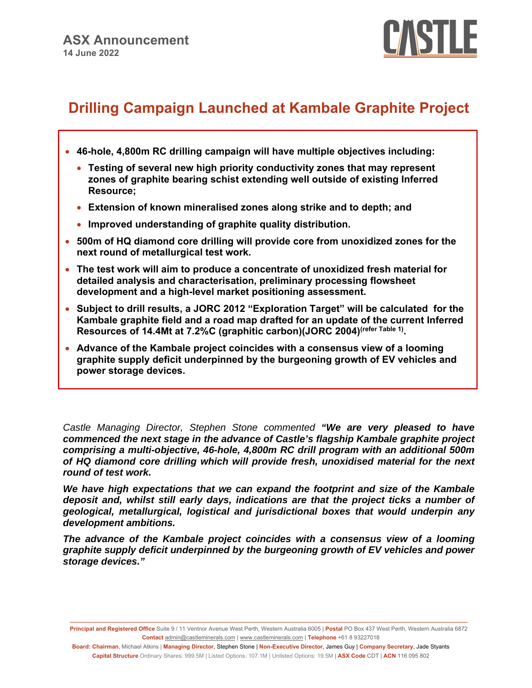

# **Drilling Campaign Launched at Kambale Graphite Project**

- **46-hole, 4,800m RC drilling campaign will have multiple objectives including:** 
	- **Testing of several new high priority conductivity zones that may represent zones of graphite bearing schist extending well outside of existing Inferred Resource;**
	- **Extension of known mineralised zones along strike and to depth; and**
	- **Improved understanding of graphite quality distribution.**
- **500m of HQ diamond core drilling will provide core from unoxidized zones for the next round of metallurgical test work.**
- **The test work will aim to produce a concentrate of unoxidized fresh material for detailed analysis and characterisation, preliminary processing flowsheet development and a high-level market positioning assessment.**
- **Subject to drill results, a JORC 2012 "Exploration Target" will be calculated for the Kambale graphite field and a road map drafted for an update of the current Inferred Resources of 14.4Mt at 7.2%C (graphitic carbon)(JORC 2004)(refer Table 1).**
- **Advance of the Kambale project coincides with a consensus view of a looming graphite supply deficit underpinned by the burgeoning growth of EV vehicles and power storage devices.**

*Castle Managing Director, Stephen Stone commented "We are very pleased to have commenced the next stage in the advance of Castle's flagship Kambale graphite project comprising a multi-objective, 46-hole, 4,800m RC drill program with an additional 500m of HQ diamond core drilling which will provide fresh, unoxidised material for the next round of test work.* 

*We have high expectations that we can expand the footprint and size of the Kambale deposit and, whilst still early days, indications are that the project ticks a number of geological, metallurgical, logistical and jurisdictional boxes that would underpin any development ambitions.* 

*The advance of the Kambale project coincides with a consensus view of a looming graphite supply deficit underpinned by the burgeoning growth of EV vehicles and power storage devices."* 

**\_\_\_\_\_\_\_\_\_\_\_\_\_\_\_\_\_\_\_\_\_\_\_\_\_\_\_\_\_\_\_\_\_\_\_\_\_\_\_\_\_\_\_\_\_\_\_\_\_\_\_\_\_\_\_\_\_\_\_\_\_\_\_\_\_\_\_\_\_\_\_\_\_\_\_\_\_\_\_\_\_\_\_\_\_\_\_\_\_\_\_\_\_\_\_\_\_\_\_\_\_\_\_\_\_\_\_\_\_\_\_\_\_\_\_\_\_\_\_\_\_\_\_\_\_ Principal and Registered Office** Suite 9 / 11 Ventnor Avenue West Perth, Western Australia 6005 | **Postal** PO Box 437 West Perth, Western Australia 6872 **Contact** admin@castleminerals.com | www.castleminerals.com | **Telephone** +61 8 93227018

**Board: Chairman**, Michael Atkins | **Managing Director**, Stephen Stone | **Non-Executive Director**, James Guy | **Company Secretary**, Jade Styants **Capital Structure** Ordinary Shares: 999.5M | Listed Options: 107.1M | Unlisted Options: 19.5M | **ASX Code** CDT | **ACN** 116 095 802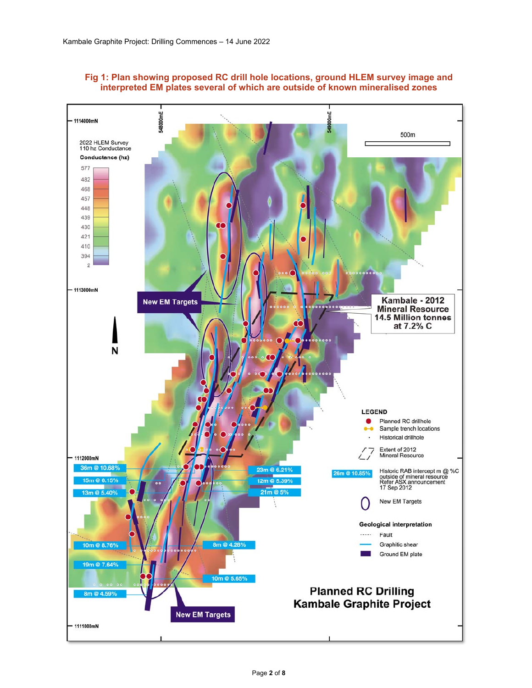

# **Fig 1: Plan showing proposed RC drill hole locations, ground HLEM survey image and interpreted EM plates several of which are outside of known mineralised zones**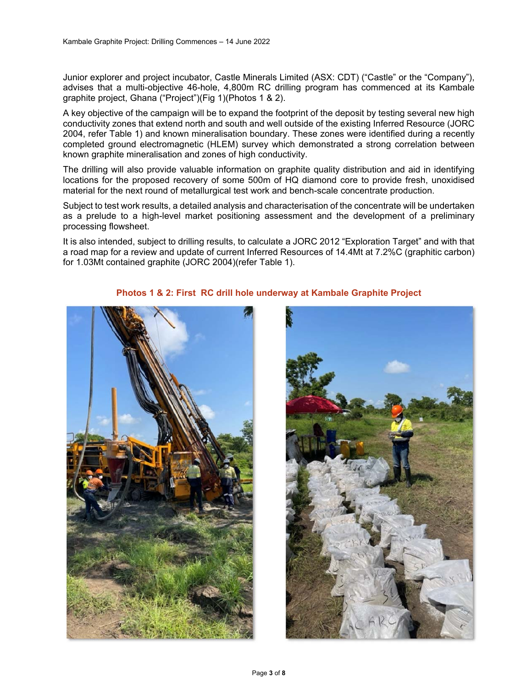Junior explorer and project incubator, Castle Minerals Limited (ASX: CDT) ("Castle" or the "Company"), advises that a multi-objective 46-hole, 4,800m RC drilling program has commenced at its Kambale graphite project, Ghana ("Project")(Fig 1)(Photos 1 & 2).

A key objective of the campaign will be to expand the footprint of the deposit by testing several new high conductivity zones that extend north and south and well outside of the existing Inferred Resource (JORC 2004, refer Table 1) and known mineralisation boundary. These zones were identified during a recently completed ground electromagnetic (HLEM) survey which demonstrated a strong correlation between known graphite mineralisation and zones of high conductivity.

The drilling will also provide valuable information on graphite quality distribution and aid in identifying locations for the proposed recovery of some 500m of HQ diamond core to provide fresh, unoxidised material for the next round of metallurgical test work and bench-scale concentrate production.

Subject to test work results, a detailed analysis and characterisation of the concentrate will be undertaken as a prelude to a high-level market positioning assessment and the development of a preliminary processing flowsheet.

It is also intended, subject to drilling results, to calculate a JORC 2012 "Exploration Target" and with that a road map for a review and update of current Inferred Resources of 14.4Mt at 7.2%C (graphitic carbon) for 1.03Mt contained graphite (JORC 2004)(refer Table 1).



## **Photos 1 & 2: First RC drill hole underway at Kambale Graphite Project**

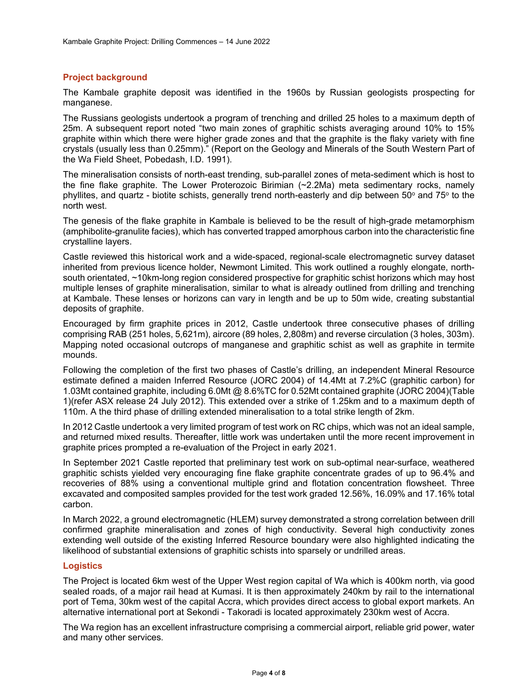## **Project background**

The Kambale graphite deposit was identified in the 1960s by Russian geologists prospecting for manganese.

The Russians geologists undertook a program of trenching and drilled 25 holes to a maximum depth of 25m. A subsequent report noted "two main zones of graphitic schists averaging around 10% to 15% graphite within which there were higher grade zones and that the graphite is the flaky variety with fine crystals (usually less than 0.25mm)." (Report on the Geology and Minerals of the South Western Part of the Wa Field Sheet, Pobedash, I.D. 1991).

The mineralisation consists of north-east trending, sub-parallel zones of meta-sediment which is host to the fine flake graphite. The Lower Proterozoic Birimian  $(\sim 2.2$ Ma) meta sedimentary rocks, namely phyllites, and quartz - biotite schists, generally trend north-easterly and dip between 50° and 75° to the north west.

The genesis of the flake graphite in Kambale is believed to be the result of high-grade metamorphism (amphibolite-granulite facies), which has converted trapped amorphous carbon into the characteristic fine crystalline layers.

Castle reviewed this historical work and a wide-spaced, regional-scale electromagnetic survey dataset inherited from previous licence holder, Newmont Limited. This work outlined a roughly elongate, northsouth orientated, ~10km-long region considered prospective for graphitic schist horizons which may host multiple lenses of graphite mineralisation, similar to what is already outlined from drilling and trenching at Kambale. These lenses or horizons can vary in length and be up to 50m wide, creating substantial deposits of graphite.

Encouraged by firm graphite prices in 2012, Castle undertook three consecutive phases of drilling comprising RAB (251 holes, 5,621m), aircore (89 holes, 2,808m) and reverse circulation (3 holes, 303m). Mapping noted occasional outcrops of manganese and graphitic schist as well as graphite in termite mounds.

Following the completion of the first two phases of Castle's drilling, an independent Mineral Resource estimate defined a maiden Inferred Resource (JORC 2004) of 14.4Mt at 7.2%C (graphitic carbon) for 1.03Mt contained graphite, including 6.0Mt @ 8.6%TC for 0.52Mt contained graphite (JORC 2004)(Table 1)(refer ASX release 24 July 2012). This extended over a strike of 1.25km and to a maximum depth of 110m. A the third phase of drilling extended mineralisation to a total strike length of 2km.

In 2012 Castle undertook a very limited program of test work on RC chips, which was not an ideal sample, and returned mixed results. Thereafter, little work was undertaken until the more recent improvement in graphite prices prompted a re-evaluation of the Project in early 2021.

In September 2021 Castle reported that preliminary test work on sub-optimal near-surface, weathered graphitic schists yielded very encouraging fine flake graphite concentrate grades of up to 96.4% and recoveries of 88% using a conventional multiple grind and flotation concentration flowsheet. Three excavated and composited samples provided for the test work graded 12.56%, 16.09% and 17.16% total carbon.

In March 2022, a ground electromagnetic (HLEM) survey demonstrated a strong correlation between drill confirmed graphite mineralisation and zones of high conductivity. Several high conductivity zones extending well outside of the existing Inferred Resource boundary were also highlighted indicating the likelihood of substantial extensions of graphitic schists into sparsely or undrilled areas.

## **Logistics**

The Project is located 6km west of the Upper West region capital of Wa which is 400km north, via good sealed roads, of a major rail head at Kumasi. It is then approximately 240km by rail to the international port of Tema, 30km west of the capital Accra, which provides direct access to global export markets. An alternative international port at Sekondi - Takoradi is located approximately 230km west of Accra.

The Wa region has an excellent infrastructure comprising a commercial airport, reliable grid power, water and many other services.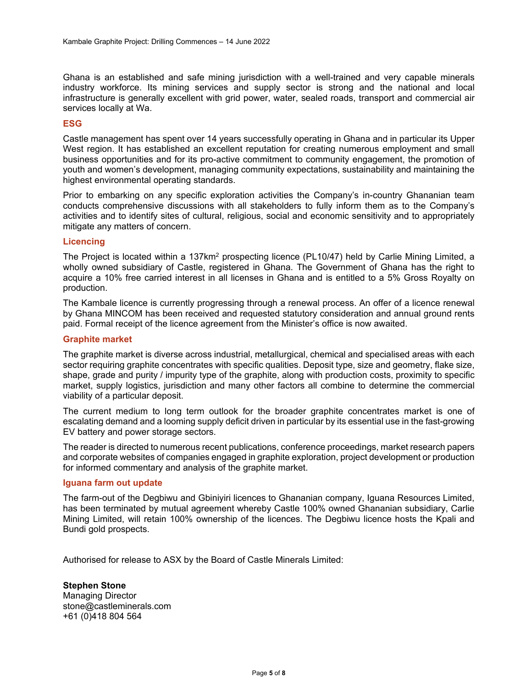Ghana is an established and safe mining jurisdiction with a well-trained and very capable minerals industry workforce. Its mining services and supply sector is strong and the national and local infrastructure is generally excellent with grid power, water, sealed roads, transport and commercial air services locally at Wa.

#### **ESG**

Castle management has spent over 14 years successfully operating in Ghana and in particular its Upper West region. It has established an excellent reputation for creating numerous employment and small business opportunities and for its pro-active commitment to community engagement, the promotion of youth and women's development, managing community expectations, sustainability and maintaining the highest environmental operating standards.

Prior to embarking on any specific exploration activities the Company's in-country Ghananian team conducts comprehensive discussions with all stakeholders to fully inform them as to the Company's activities and to identify sites of cultural, religious, social and economic sensitivity and to appropriately mitigate any matters of concern.

#### **Licencing**

The Project is located within a 137km<sup>2</sup> prospecting licence (PL10/47) held by Carlie Mining Limited, a wholly owned subsidiary of Castle, registered in Ghana. The Government of Ghana has the right to acquire a 10% free carried interest in all licenses in Ghana and is entitled to a 5% Gross Royalty on production.

The Kambale licence is currently progressing through a renewal process. An offer of a licence renewal by Ghana MINCOM has been received and requested statutory consideration and annual ground rents paid. Formal receipt of the licence agreement from the Minister's office is now awaited.

#### **Graphite market**

The graphite market is diverse across industrial, metallurgical, chemical and specialised areas with each sector requiring graphite concentrates with specific qualities. Deposit type, size and geometry, flake size, shape, grade and purity / impurity type of the graphite, along with production costs, proximity to specific market, supply logistics, jurisdiction and many other factors all combine to determine the commercial viability of a particular deposit.

The current medium to long term outlook for the broader graphite concentrates market is one of escalating demand and a looming supply deficit driven in particular by its essential use in the fast-growing EV battery and power storage sectors.

The reader is directed to numerous recent publications, conference proceedings, market research papers and corporate websites of companies engaged in graphite exploration, project development or production for informed commentary and analysis of the graphite market.

#### **Iguana farm out update**

The farm-out of the Degbiwu and Gbiniyiri licences to Ghananian company, Iguana Resources Limited, has been terminated by mutual agreement whereby Castle 100% owned Ghananian subsidiary, Carlie Mining Limited, will retain 100% ownership of the licences. The Degbiwu licence hosts the Kpali and Bundi gold prospects.

Authorised for release to ASX by the Board of Castle Minerals Limited:

**Stephen Stone**  Managing Director stone@castleminerals.com +61 (0)418 804 564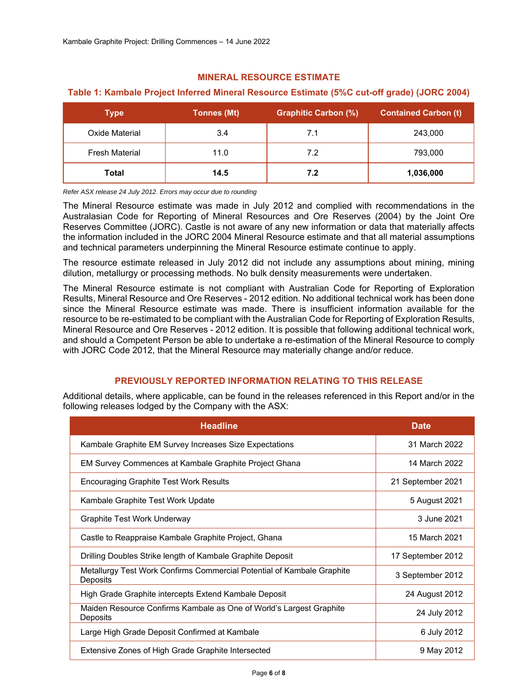# **MINERAL RESOURCE ESTIMATE**

# **Table 1: Kambale Project Inferred Mineral Resource Estimate (5%C cut-off grade) (JORC 2004)**

| <b>Type</b>           | <b>Tonnes (Mt)</b> | <b>Graphitic Carbon (%)</b> | <b>Contained Carbon (t)</b> |
|-----------------------|--------------------|-----------------------------|-----------------------------|
| Oxide Material        | 3.4                | 7.1                         | 243,000                     |
| <b>Fresh Material</b> | 11.0               | 7.2                         | 793,000                     |
| Total                 | 14.5               | 7.2                         | 1,036,000                   |

*Refer ASX release 24 July 2012. Errors may occur due to rounding* 

The Mineral Resource estimate was made in July 2012 and complied with recommendations in the Australasian Code for Reporting of Mineral Resources and Ore Reserves (2004) by the Joint Ore Reserves Committee (JORC). Castle is not aware of any new information or data that materially affects the information included in the JORC 2004 Mineral Resource estimate and that all material assumptions and technical parameters underpinning the Mineral Resource estimate continue to apply.

The resource estimate released in July 2012 did not include any assumptions about mining, mining dilution, metallurgy or processing methods. No bulk density measurements were undertaken.

The Mineral Resource estimate is not compliant with Australian Code for Reporting of Exploration Results, Mineral Resource and Ore Reserves - 2012 edition. No additional technical work has been done since the Mineral Resource estimate was made. There is insufficient information available for the resource to be re-estimated to be compliant with the Australian Code for Reporting of Exploration Results, Mineral Resource and Ore Reserves - 2012 edition. It is possible that following additional technical work, and should a Competent Person be able to undertake a re-estimation of the Mineral Resource to comply with JORC Code 2012, that the Mineral Resource may materially change and/or reduce.

# **PREVIOUSLY REPORTED INFORMATION RELATING TO THIS RELEASE**

Additional details, where applicable, can be found in the releases referenced in this Report and/or in the following releases lodged by the Company with the ASX:

| <b>Headline</b>                                                                    | <b>Date</b>       |
|------------------------------------------------------------------------------------|-------------------|
| Kambale Graphite EM Survey Increases Size Expectations                             | 31 March 2022     |
| EM Survey Commences at Kambale Graphite Project Ghana                              | 14 March 2022     |
| Encouraging Graphite Test Work Results                                             | 21 September 2021 |
| Kambale Graphite Test Work Update                                                  | 5 August 2021     |
| Graphite Test Work Underway                                                        | 3 June 2021       |
| Castle to Reappraise Kambale Graphite Project, Ghana                               | 15 March 2021     |
| Drilling Doubles Strike length of Kambale Graphite Deposit                         | 17 September 2012 |
| Metallurgy Test Work Confirms Commercial Potential of Kambale Graphite<br>Deposits | 3 September 2012  |
| High Grade Graphite intercepts Extend Kambale Deposit                              | 24 August 2012    |
| Maiden Resource Confirms Kambale as One of World's Largest Graphite<br>Deposits    | 24 July 2012      |
| Large High Grade Deposit Confirmed at Kambale                                      | 6 July 2012       |
| Extensive Zones of High Grade Graphite Intersected                                 | 9 May 2012        |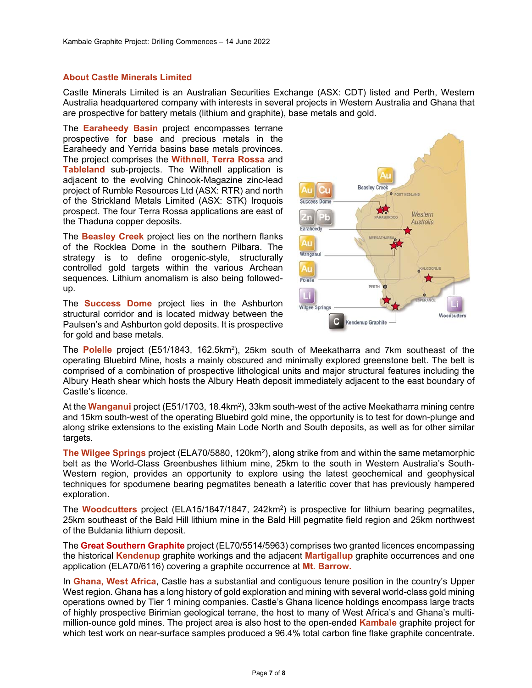## **About Castle Minerals Limited**

Castle Minerals Limited is an Australian Securities Exchange (ASX: CDT) listed and Perth, Western Australia headquartered company with interests in several projects in Western Australia and Ghana that are prospective for battery metals (lithium and graphite), base metals and gold.

The **Earaheedy Basin** project encompasses terrane prospective for base and precious metals in the Earaheedy and Yerrida basins base metals provinces. The project comprises the **Withnell, Terra Rossa** and **Tableland** sub-projects. The Withnell application is adjacent to the evolving Chinook-Magazine zinc-lead project of Rumble Resources Ltd (ASX: RTR) and north of the Strickland Metals Limited (ASX: STK) Iroquois prospect. The four Terra Rossa applications are east of the Thaduna copper deposits.

The **Beasley Creek** project lies on the northern flanks of the Rocklea Dome in the southern Pilbara. The strategy is to define orogenic-style, structurally controlled gold targets within the various Archean sequences. Lithium anomalism is also being followedup.

The **Success Dome** project lies in the Ashburton structural corridor and is located midway between the Paulsen's and Ashburton gold deposits. It is prospective for gold and base metals.



The **Polelle** project (E51/1843, 162.5km<sup>2</sup>), 25km south of Meekatharra and 7km southeast of the operating Bluebird Mine, hosts a mainly obscured and minimally explored greenstone belt. The belt is comprised of a combination of prospective lithological units and major structural features including the Albury Heath shear which hosts the Albury Heath deposit immediately adjacent to the east boundary of Castle's licence.

At the **Wanganui** project (E51/1703, 18.4km<sup>2</sup>), 33km south-west of the active Meekatharra mining centre and 15km south-west of the operating Bluebird gold mine, the opportunity is to test for down-plunge and along strike extensions to the existing Main Lode North and South deposits, as well as for other similar targets.

**The Wilgee Springs** project (ELA70/5880, 120km2), along strike from and within the same metamorphic belt as the World-Class Greenbushes lithium mine, 25km to the south in Western Australia's South-Western region, provides an opportunity to explore using the latest geochemical and geophysical techniques for spodumene bearing pegmatites beneath a lateritic cover that has previously hampered exploration.

The **Woodcutters** project (ELA15/1847/1847, 242km<sup>2</sup>) is prospective for lithium bearing pegmatites, 25km southeast of the Bald Hill lithium mine in the Bald Hill pegmatite field region and 25km northwest of the Buldania lithium deposit.

The **Great Southern Graphite** project (EL70/5514/5963) comprises two granted licences encompassing the historical **Kendenup** graphite workings and the adjacent **Martigallup** graphite occurrences and one application (ELA70/6116) covering a graphite occurrence at **Mt. Barrow.** 

In **Ghana, West Africa**, Castle has a substantial and contiguous tenure position in the country's Upper West region. Ghana has a long history of gold exploration and mining with several world-class gold mining operations owned by Tier 1 mining companies. Castle's Ghana licence holdings encompass large tracts of highly prospective Birimian geological terrane, the host to many of West Africa's and Ghana's multimillion-ounce gold mines. The project area is also host to the open-ended **Kambale** graphite project for which test work on near-surface samples produced a 96.4% total carbon fine flake graphite concentrate.